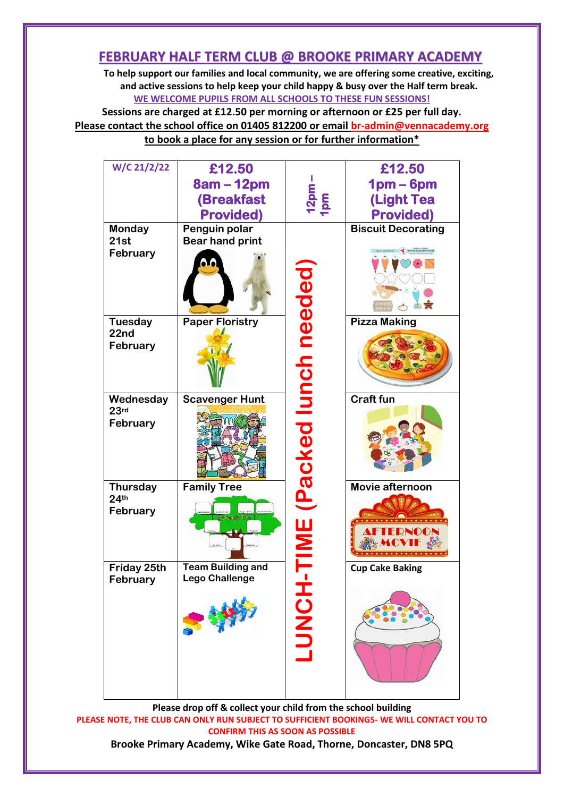## **FEBRUARY HALF TERM CLUB @ BROOKE PRIMARY ACADEMY**

**To help support our families and local community, we are offering some creative, exciting, and active sessions to help keep your child happy & busy over the Half term break. WE WELCOME PUPILS FROM ALL SCHOOLS TO THESE FUN SESSIONS!**

**Sessions are charged at £12.50 per morning or afternoon or £25 per full day. Please contact the school office on 01405 812200 or email [br-admin@vennacademy.org](mailto:br-admin@vennacademy.org) to book a place for any session or for further information\***

| W/C 21/2/22                                     | £12.50<br>8am – 12pm<br>(Breakfast<br><b>Provided)</b> | $\begin{array}{c}\n 12pm \\ \hline\n 1pm\n \end{array}$ | £12.50<br>$1pm-6pm$<br><b>(Light Tea</b><br><b>Provided)</b> |
|-------------------------------------------------|--------------------------------------------------------|---------------------------------------------------------|--------------------------------------------------------------|
| <b>Monday</b><br>21st<br>February               | Penguin polar<br><b>Bear hand print</b>                |                                                         | <b>Biscuit Decorating</b><br><b>ICED COOKIES CLIPART SET</b> |
| <b>Tuesday</b><br>22nd<br>February              | <b>Paper Floristry</b>                                 |                                                         | <b>Pizza Making</b>                                          |
| Wednesday<br>23rd<br>February                   | <b>Scavenger Hunt</b>                                  | Packed lunch needed                                     | <b>Craft fun</b>                                             |
| <b>Thursday</b><br>24 <sup>th</sup><br>February | <b>Family Tree</b><br>My Family Tree                   | <u>TIME</u>                                             | Movie afternoon<br>FDNOON                                    |
| Friday 25th<br>February                         | <b>Team Building and</b><br>ego Challenge              | HONDI                                                   | <b>Cup Cake Baking</b>                                       |

**Please drop off & collect your child from the school building PLEASE NOTE, THE CLUB CAN ONLY RUN SUBJECT TO SUFFICIENT BOOKINGS- WE WILL CONTACT YOU TO CONFIRM THIS AS SOON AS POSSIBLE Brooke Primary Academy, Wike Gate Road, Thorne, Doncaster, DN8 5PQ**